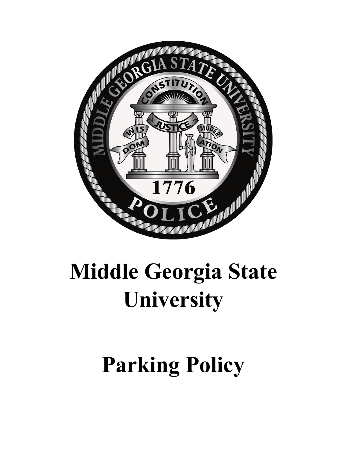

# **Middle Georgia State University**

**Parking Policy**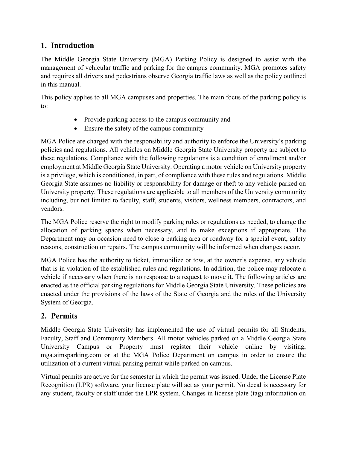## **1. Introduction**

The Middle Georgia State University (MGA) Parking Policy is designed to assist with the management of vehicular traffic and parking for the campus community. MGA promotes safety and requires all drivers and pedestrians observe Georgia traffic laws as well as the policy outlined in this manual.

This policy applies to all MGA campuses and properties. The main focus of the parking policy is to:

- Provide parking access to the campus community and
- Ensure the safety of the campus community

MGA Police are charged with the responsibility and authority to enforce the University's parking policies and regulations. All vehicles on Middle Georgia State University property are subject to these regulations. Compliance with the following regulations is a condition of enrollment and/or employment at Middle Georgia State University. Operating a motor vehicle on University property is a privilege, which is conditioned, in part, of compliance with these rules and regulations. Middle Georgia State assumes no liability or responsibility for damage or theft to any vehicle parked on University property. These regulations are applicable to all members of the University community including, but not limited to faculty, staff, students, visitors, wellness members, contractors, and vendors.

The MGA Police reserve the right to modify parking rules or regulations as needed, to change the allocation of parking spaces when necessary, and to make exceptions if appropriate. The Department may on occasion need to close a parking area or roadway for a special event, safety reasons, construction or repairs. The campus community will be informed when changes occur.

MGA Police has the authority to ticket, immobilize or tow, at the owner's expense, any vehicle that is in violation of the established rules and regulations. In addition, the police may relocate a vehicle if necessary when there is no response to a request to move it. The following articles are enacted as the official parking regulations for Middle Georgia State University. These policies are enacted under the provisions of the laws of the State of Georgia and the rules of the University System of Georgia.

# **2. Permits**

Middle Georgia State University has implemented the use of virtual permits for all Students, Faculty, Staff and Community Members. All motor vehicles parked on a Middle Georgia State University Campus or Property must register their vehicle online by visiting, mga.aimsparking.com or at the MGA Police Department on campus in order to ensure the utilization of a current virtual parking permit while parked on campus.

Virtual permits are active for the semester in which the permit was issued. Under the License Plate Recognition (LPR) software, your license plate will act as your permit. No decal is necessary for any student, faculty or staff under the LPR system. Changes in license plate (tag) information on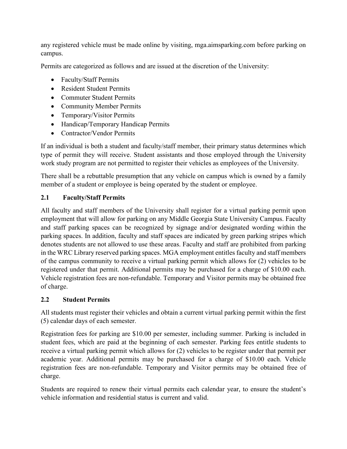any registered vehicle must be made online by visiting, mga.aimsparking.com before parking on campus.

Permits are categorized as follows and are issued at the discretion of the University:

- Faculty/Staff Permits
- Resident Student Permits
- Commuter Student Permits
- Community Member Permits
- Temporary/Visitor Permits
- Handicap/Temporary Handicap Permits
- Contractor/Vendor Permits

If an individual is both a student and faculty/staff member, their primary status determines which type of permit they will receive. Student assistants and those employed through the University work study program are not permitted to register their vehicles as employees of the University.

There shall be a rebuttable presumption that any vehicle on campus which is owned by a family member of a student or employee is being operated by the student or employee.

#### **2.1 Faculty/Staff Permits**

All faculty and staff members of the University shall register for a virtual parking permit upon employment that will allow for parking on any Middle Georgia State University Campus. Faculty and staff parking spaces can be recognized by signage and/or designated wording within the parking spaces. In addition, faculty and staff spaces are indicated by green parking stripes which denotes students are not allowed to use these areas. Faculty and staff are prohibited from parking in the WRC Library reserved parking spaces. MGA employment entitles faculty and staff members of the campus community to receive a virtual parking permit which allows for (2) vehicles to be registered under that permit. Additional permits may be purchased for a charge of \$10.00 each. Vehicle registration fees are non-refundable. Temporary and Visitor permits may be obtained free of charge.

#### **2.2 Student Permits**

All students must register their vehicles and obtain a current virtual parking permit within the first (5) calendar days of each semester.

Registration fees for parking are \$10.00 per semester, including summer. Parking is included in student fees, which are paid at the beginning of each semester. Parking fees entitle students to receive a virtual parking permit which allows for (2) vehicles to be register under that permit per academic year. Additional permits may be purchased for a charge of \$10.00 each. Vehicle registration fees are non-refundable. Temporary and Visitor permits may be obtained free of charge.

Students are required to renew their virtual permits each calendar year, to ensure the student's vehicle information and residential status is current and valid.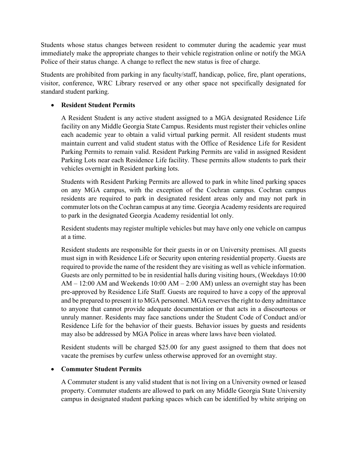Students whose status changes between resident to commuter during the academic year must immediately make the appropriate changes to their vehicle registration online or notify the MGA Police of their status change. A change to reflect the new status is free of charge.

Students are prohibited from parking in any faculty/staff, handicap, police, fire, plant operations, visitor, conference, WRC Library reserved or any other space not specifically designated for standard student parking.

#### • **Resident Student Permits**

A Resident Student is any active student assigned to a MGA designated Residence Life facility on any Middle Georgia State Campus. Residents must register their vehicles online each academic year to obtain a valid virtual parking permit. All resident students must maintain current and valid student status with the Office of Residence Life for Resident Parking Permits to remain valid. Resident Parking Permits are valid in assigned Resident Parking Lots near each Residence Life facility. These permits allow students to park their vehicles overnight in Resident parking lots.

Students with Resident Parking Permits are allowed to park in white lined parking spaces on any MGA campus, with the exception of the Cochran campus. Cochran campus residents are required to park in designated resident areas only and may not park in commuter lots on the Cochran campus at any time. Georgia Academy residents are required to park in the designated Georgia Academy residential lot only.

Resident students may register multiple vehicles but may have only one vehicle on campus at a time.

Resident students are responsible for their guests in or on University premises. All guests must sign in with Residence Life or Security upon entering residential property. Guests are required to provide the name of the resident they are visiting as well as vehicle information. Guests are only permitted to be in residential halls during visiting hours, (Weekdays 10:00 AM – 12:00 AM and Weekends 10:00 AM – 2:00 AM) unless an overnight stay has been pre-approved by Residence Life Staff. Guests are required to have a copy of the approval and be prepared to present it to MGA personnel. MGA reserves the right to deny admittance to anyone that cannot provide adequate documentation or that acts in a discourteous or unruly manner. Residents may face sanctions under the Student Code of Conduct and/or Residence Life for the behavior of their guests. Behavior issues by guests and residents may also be addressed by MGA Police in areas where laws have been violated.

Resident students will be charged \$25.00 for any guest assigned to them that does not vacate the premises by curfew unless otherwise approved for an overnight stay.

#### • **Commuter Student Permits**

A Commuter student is any valid student that is not living on a University owned or leased property. Commuter students are allowed to park on any Middle Georgia State University campus in designated student parking spaces which can be identified by white striping on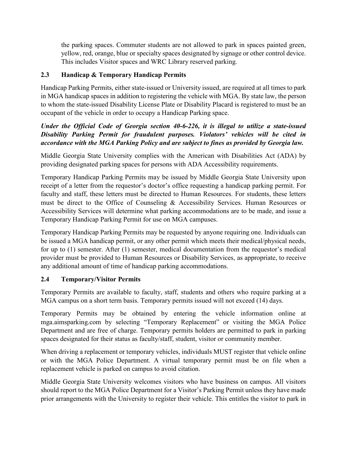the parking spaces. Commuter students are not allowed to park in spaces painted green, yellow, red, orange, blue or specialty spaces designated by signage or other control device. This includes Visitor spaces and WRC Library reserved parking.

#### **2.3 Handicap & Temporary Handicap Permits**

Handicap Parking Permits, either state-issued or University issued, are required at all times to park in MGA handicap spaces in addition to registering the vehicle with MGA. By state law, the person to whom the state-issued Disability License Plate or Disability Placard is registered to must be an occupant of the vehicle in order to occupy a Handicap Parking space.

#### *Under the Official Code of Georgia section 40-6-226, it is illegal to utilize a state-issued Disability Parking Permit for fraudulent purposes. Violators' vehicles will be cited in accordance with the MGA Parking Policy and are subject to fines as provided by Georgia law.*

Middle Georgia State University complies with the American with Disabilities Act (ADA) by providing designated parking spaces for persons with ADA Accessibility requirements.

Temporary Handicap Parking Permits may be issued by Middle Georgia State University upon receipt of a letter from the requestor's doctor's office requesting a handicap parking permit. For faculty and staff, these letters must be directed to Human Resources. For students, these letters must be direct to the Office of Counseling & Accessibility Services. Human Resources or Accessibility Services will determine what parking accommodations are to be made, and issue a Temporary Handicap Parking Permit for use on MGA campuses.

Temporary Handicap Parking Permits may be requested by anyone requiring one. Individuals can be issued a MGA handicap permit, or any other permit which meets their medical/physical needs, for up to (1) semester. After (1) semester, medical documentation from the requestor's medical provider must be provided to Human Resources or Disability Services, as appropriate, to receive any additional amount of time of handicap parking accommodations.

#### **2.4 Temporary/Visitor Permits**

Temporary Permits are available to faculty, staff, students and others who require parking at a MGA campus on a short term basis. Temporary permits issued will not exceed (14) days.

Temporary Permits may be obtained by entering the vehicle information online at mga.aimsparking.com by selecting "Temporary Replacement" or visiting the MGA Police Department and are free of charge. Temporary permits holders are permitted to park in parking spaces designated for their status as faculty/staff, student, visitor or community member.

When driving a replacement or temporary vehicles, individuals MUST register that vehicle online or with the MGA Police Department. A virtual temporary permit must be on file when a replacement vehicle is parked on campus to avoid citation.

Middle Georgia State University welcomes visitors who have business on campus. All visitors should report to the MGA Police Department for a Visitor's Parking Permit unless they have made prior arrangements with the University to register their vehicle. This entitles the visitor to park in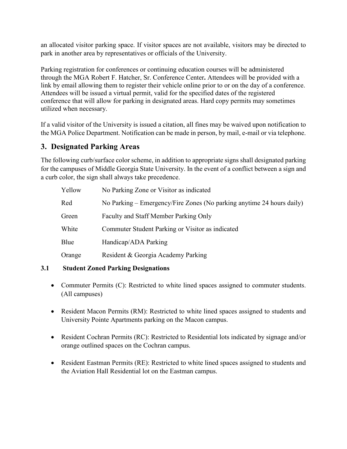an allocated visitor parking space. If visitor spaces are not available, visitors may be directed to park in another area by representatives or officials of the University.

Parking registration for conferences or continuing education courses will be administered through the MGA Robert F. Hatcher, Sr. Conference Center**.** Attendees will be provided with a link by email allowing them to register their vehicle online prior to or on the day of a conference. Attendees will be issued a virtual permit, valid for the specified dates of the registered conference that will allow for parking in designated areas. Hard copy permits may sometimes utilized when necessary.

If a valid visitor of the University is issued a citation, all fines may be waived upon notification to the MGA Police Department. Notification can be made in person, by mail, e-mail or via telephone.

# **3. Designated Parking Areas**

The following curb/surface color scheme, in addition to appropriate signs shall designated parking for the campuses of Middle Georgia State University. In the event of a conflict between a sign and a curb color, the sign shall always take precedence.

| Yellow | No Parking Zone or Visitor as indicated                               |
|--------|-----------------------------------------------------------------------|
| Red    | No Parking – Emergency/Fire Zones (No parking anytime 24 hours daily) |
| Green  | Faculty and Staff Member Parking Only                                 |
| White  | Commuter Student Parking or Visitor as indicated                      |
| Blue   | Handicap/ADA Parking                                                  |
| Orange | Resident & Georgia Academy Parking                                    |

#### **3.1 Student Zoned Parking Designations**

- Commuter Permits (C): Restricted to white lined spaces assigned to commuter students. (All campuses)
- Resident Macon Permits (RM): Restricted to white lined spaces assigned to students and University Pointe Apartments parking on the Macon campus.
- Resident Cochran Permits (RC): Restricted to Residential lots indicated by signage and/or orange outlined spaces on the Cochran campus.
- Resident Eastman Permits (RE): Restricted to white lined spaces assigned to students and the Aviation Hall Residential lot on the Eastman campus.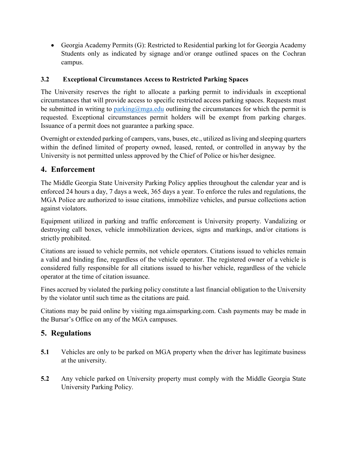• Georgia Academy Permits (G): Restricted to Residential parking lot for Georgia Academy Students only as indicated by signage and/or orange outlined spaces on the Cochran campus.

#### **3.2 Exceptional Circumstances Access to Restricted Parking Spaces**

The University reserves the right to allocate a parking permit to individuals in exceptional circumstances that will provide access to specific restricted access parking spaces. Requests must be submitted in writing to [parking@mga.edu](mailto:parking@mga.edu) outlining the circumstances for which the permit is requested. Exceptional circumstances permit holders will be exempt from parking charges. Issuance of a permit does not guarantee a parking space.

Overnight or extended parking of campers, vans, buses, etc., utilized as living and sleeping quarters within the defined limited of property owned, leased, rented, or controlled in anyway by the University is not permitted unless approved by the Chief of Police or his/her designee.

# **4. Enforcement**

The Middle Georgia State University Parking Policy applies throughout the calendar year and is enforced 24 hours a day, 7 days a week, 365 days a year. To enforce the rules and regulations, the MGA Police are authorized to issue citations, immobilize vehicles, and pursue collections action against violators.

Equipment utilized in parking and traffic enforcement is University property. Vandalizing or destroying call boxes, vehicle immobilization devices, signs and markings, and/or citations is strictly prohibited.

Citations are issued to vehicle permits, not vehicle operators. Citations issued to vehicles remain a valid and binding fine, regardless of the vehicle operator. The registered owner of a vehicle is considered fully responsible for all citations issued to his/her vehicle, regardless of the vehicle operator at the time of citation issuance.

Fines accrued by violated the parking policy constitute a last financial obligation to the University by the violator until such time as the citations are paid.

Citations may be paid online by visiting mga.aimsparking.com. Cash payments may be made in the Bursar's Office on any of the MGA campuses.

# **5. Regulations**

- **5.1** Vehicles are only to be parked on MGA property when the driver has legitimate business at the university.
- **5.2** Any vehicle parked on University property must comply with the Middle Georgia State University Parking Policy.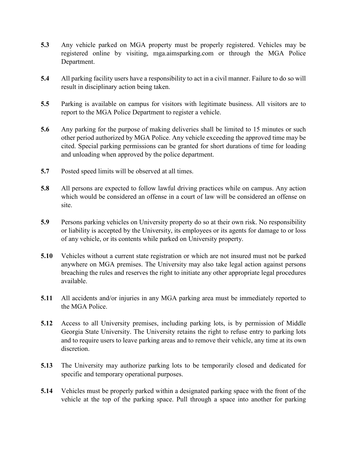- **5.3** Any vehicle parked on MGA property must be properly registered. Vehicles may be registered online by visiting, mga.aimsparking.com or through the MGA Police Department.
- **5.4** All parking facility users have a responsibility to act in a civil manner. Failure to do so will result in disciplinary action being taken.
- **5.5** Parking is available on campus for visitors with legitimate business. All visitors are to report to the MGA Police Department to register a vehicle.
- **5.6** Any parking for the purpose of making deliveries shall be limited to 15 minutes or such other period authorized by MGA Police. Any vehicle exceeding the approved time may be cited. Special parking permissions can be granted for short durations of time for loading and unloading when approved by the police department.
- **5.7** Posted speed limits will be observed at all times.
- **5.8** All persons are expected to follow lawful driving practices while on campus. Any action which would be considered an offense in a court of law will be considered an offense on site.
- **5.9** Persons parking vehicles on University property do so at their own risk. No responsibility or liability is accepted by the University, its employees or its agents for damage to or loss of any vehicle, or its contents while parked on University property.
- **5.10** Vehicles without a current state registration or which are not insured must not be parked anywhere on MGA premises. The University may also take legal action against persons breaching the rules and reserves the right to initiate any other appropriate legal procedures available.
- **5.11** All accidents and/or injuries in any MGA parking area must be immediately reported to the MGA Police.
- **5.12** Access to all University premises, including parking lots, is by permission of Middle Georgia State University. The University retains the right to refuse entry to parking lots and to require users to leave parking areas and to remove their vehicle, any time at its own discretion.
- **5.13** The University may authorize parking lots to be temporarily closed and dedicated for specific and temporary operational purposes.
- **5.14** Vehicles must be properly parked within a designated parking space with the front of the vehicle at the top of the parking space. Pull through a space into another for parking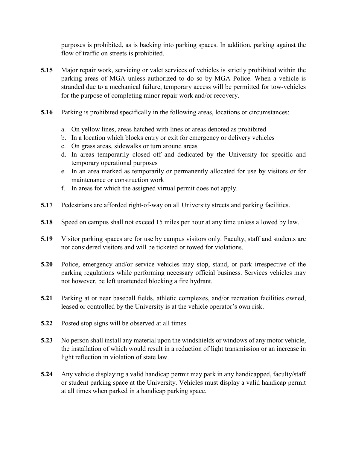purposes is prohibited, as is backing into parking spaces. In addition, parking against the flow of traffic on streets is prohibited.

- **5.15** Major repair work, servicing or valet services of vehicles is strictly prohibited within the parking areas of MGA unless authorized to do so by MGA Police. When a vehicle is stranded due to a mechanical failure, temporary access will be permitted for tow-vehicles for the purpose of completing minor repair work and/or recovery.
- **5.16** Parking is prohibited specifically in the following areas, locations or circumstances:
	- a. On yellow lines, areas hatched with lines or areas denoted as prohibited
	- b. In a location which blocks entry or exit for emergency or delivery vehicles
	- c. On grass areas, sidewalks or turn around areas
	- d. In areas temporarily closed off and dedicated by the University for specific and temporary operational purposes
	- e. In an area marked as temporarily or permanently allocated for use by visitors or for maintenance or construction work
	- f. In areas for which the assigned virtual permit does not apply.
- **5.17** Pedestrians are afforded right-of-way on all University streets and parking facilities.
- **5.18** Speed on campus shall not exceed 15 miles per hour at any time unless allowed by law.
- **5.19** Visitor parking spaces are for use by campus visitors only. Faculty, staff and students are not considered visitors and will be ticketed or towed for violations.
- **5.20** Police, emergency and/or service vehicles may stop, stand, or park irrespective of the parking regulations while performing necessary official business. Services vehicles may not however, be left unattended blocking a fire hydrant.
- **5.21** Parking at or near baseball fields, athletic complexes, and/or recreation facilities owned, leased or controlled by the University is at the vehicle operator's own risk.
- **5.22** Posted stop signs will be observed at all times.
- **5.23** No person shall install any material upon the windshields or windows of any motor vehicle, the installation of which would result in a reduction of light transmission or an increase in light reflection in violation of state law.
- **5.24** Any vehicle displaying a valid handicap permit may park in any handicapped, faculty/staff or student parking space at the University. Vehicles must display a valid handicap permit at all times when parked in a handicap parking space.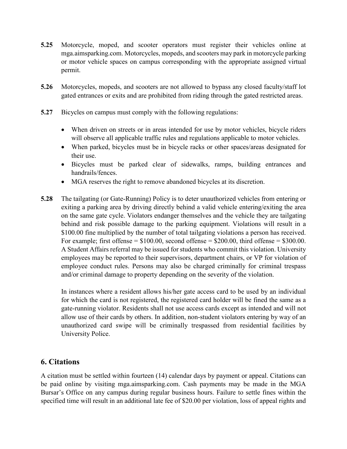- **5.25** Motorcycle, moped, and scooter operators must register their vehicles online at mga.aimsparking.com. Motorcycles, mopeds, and scooters may park in motorcycle parking or motor vehicle spaces on campus corresponding with the appropriate assigned virtual permit.
- **5.26** Motorcycles, mopeds, and scooters are not allowed to bypass any closed faculty/staff lot gated entrances or exits and are prohibited from riding through the gated restricted areas.
- **5.27** Bicycles on campus must comply with the following regulations:
	- When driven on streets or in areas intended for use by motor vehicles, bicycle riders will observe all applicable traffic rules and regulations applicable to motor vehicles.
	- When parked, bicycles must be in bicycle racks or other spaces/areas designated for their use.
	- Bicycles must be parked clear of sidewalks, ramps, building entrances and handrails/fences.
	- MGA reserves the right to remove abandoned bicycles at its discretion.
- **5.28** The tailgating (or Gate-Running) Policy is to deter unauthorized vehicles from entering or exiting a parking area by driving directly behind a valid vehicle entering/exiting the area on the same gate cycle. Violators endanger themselves and the vehicle they are tailgating behind and risk possible damage to the parking equipment. Violations will result in a \$100.00 fine multiplied by the number of total tailgating violations a person has received. For example; first offense  $= $100.00$ , second offense  $= $200.00$ , third offense  $= $300.00$ . A Student Affairs referral may be issued for students who commit this violation. University employees may be reported to their supervisors, department chairs, or VP for violation of employee conduct rules. Persons may also be charged criminally for criminal trespass and/or criminal damage to property depending on the severity of the violation.

In instances where a resident allows his/her gate access card to be used by an individual for which the card is not registered, the registered card holder will be fined the same as a gate-running violator. Residents shall not use access cards except as intended and will not allow use of their cards by others. In addition, non-student violators entering by way of an unauthorized card swipe will be criminally trespassed from residential facilities by University Police.

## **6. Citations**

A citation must be settled within fourteen (14) calendar days by payment or appeal. Citations can be paid online by visiting mga.aimsparking.com. Cash payments may be made in the MGA Bursar's Office on any campus during regular business hours. Failure to settle fines within the specified time will result in an additional late fee of \$20.00 per violation, loss of appeal rights and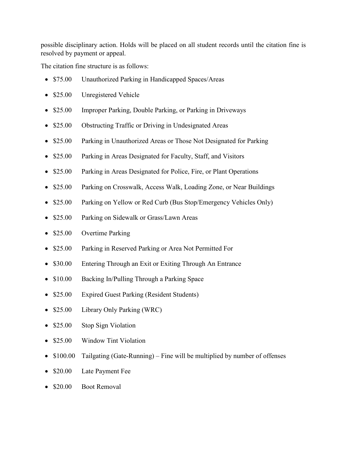possible disciplinary action. Holds will be placed on all student records until the citation fine is resolved by payment or appeal.

The citation fine structure is as follows:

- \$75.00 Unauthorized Parking in Handicapped Spaces/Areas
- \$25.00 Unregistered Vehicle
- \$25.00 Improper Parking, Double Parking, or Parking in Driveways
- \$25.00 Obstructing Traffic or Driving in Undesignated Areas
- \$25.00 Parking in Unauthorized Areas or Those Not Designated for Parking
- \$25.00 Parking in Areas Designated for Faculty, Staff, and Visitors
- \$25.00 Parking in Areas Designated for Police, Fire, or Plant Operations
- \$25.00 Parking on Crosswalk, Access Walk, Loading Zone, or Near Buildings
- \$25.00 Parking on Yellow or Red Curb (Bus Stop/Emergency Vehicles Only)
- \$25.00 Parking on Sidewalk or Grass/Lawn Areas
- \$25.00 Overtime Parking
- \$25.00 Parking in Reserved Parking or Area Not Permitted For
- \$30.00 Entering Through an Exit or Exiting Through An Entrance
- \$10.00 Backing In/Pulling Through a Parking Space
- \$25.00 Expired Guest Parking (Resident Students)
- \$25.00 Library Only Parking (WRC)
- \$25.00 Stop Sign Violation
- \$25.00 Window Tint Violation
- \$100.00 Tailgating (Gate-Running) Fine will be multiplied by number of offenses
- \$20.00 Late Payment Fee
- \$20.00 Boot Removal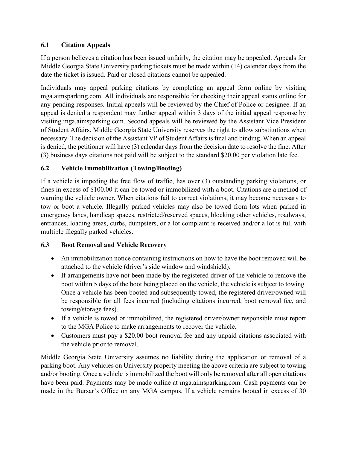#### **6.1 Citation Appeals**

If a person believes a citation has been issued unfairly, the citation may be appealed. Appeals for Middle Georgia State University parking tickets must be made within (14) calendar days from the date the ticket is issued. Paid or closed citations cannot be appealed.

Individuals may appeal parking citations by completing an appeal form online by visiting mga.aimsparking.com. All individuals are responsible for checking their appeal status online for any pending responses. Initial appeals will be reviewed by the Chief of Police or designee. If an appeal is denied a respondent may further appeal within 3 days of the initial appeal response by visiting mga.aimsparking.com. Second appeals will be reviewed by the Assistant Vice President of Student Affairs. Middle Georgia State University reserves the right to allow substitutions when necessary. The decision of the Assistant VP of Student Affairs is final and binding. When an appeal is denied, the petitioner will have (3) calendar days from the decision date to resolve the fine. After (3) business days citations not paid will be subject to the standard \$20.00 per violation late fee.

## **6.2 Vehicle Immobilization (Towing/Booting)**

If a vehicle is impeding the free flow of traffic, has over (3) outstanding parking violations, or fines in excess of \$100.00 it can be towed or immobilized with a boot. Citations are a method of warning the vehicle owner. When citations fail to correct violations, it may become necessary to tow or boot a vehicle. Illegally parked vehicles may also be towed from lots when parked in emergency lanes, handicap spaces, restricted/reserved spaces, blocking other vehicles, roadways, entrances, loading areas, curbs, dumpsters, or a lot complaint is received and/or a lot is full with multiple illegally parked vehicles.

#### **6.3 Boot Removal and Vehicle Recovery**

- An immobilization notice containing instructions on how to have the boot removed will be attached to the vehicle (driver's side window and windshield).
- If arrangements have not been made by the registered driver of the vehicle to remove the boot within 5 days of the boot being placed on the vehicle, the vehicle is subject to towing. Once a vehicle has been booted and subsequently towed, the registered driver/owned will be responsible for all fees incurred (including citations incurred, boot removal fee, and towing/storage fees).
- If a vehicle is towed or immobilized, the registered driver/owner responsible must report to the MGA Police to make arrangements to recover the vehicle.
- Customers must pay a \$20.00 boot removal fee and any unpaid citations associated with the vehicle prior to removal.

Middle Georgia State University assumes no liability during the application or removal of a parking boot. Any vehicles on University property meeting the above criteria are subject to towing and/or booting. Once a vehicle is immobilized the boot will only be removed after all open citations have been paid. Payments may be made online at mga.aimsparking.com. Cash payments can be made in the Bursar's Office on any MGA campus. If a vehicle remains booted in excess of 30